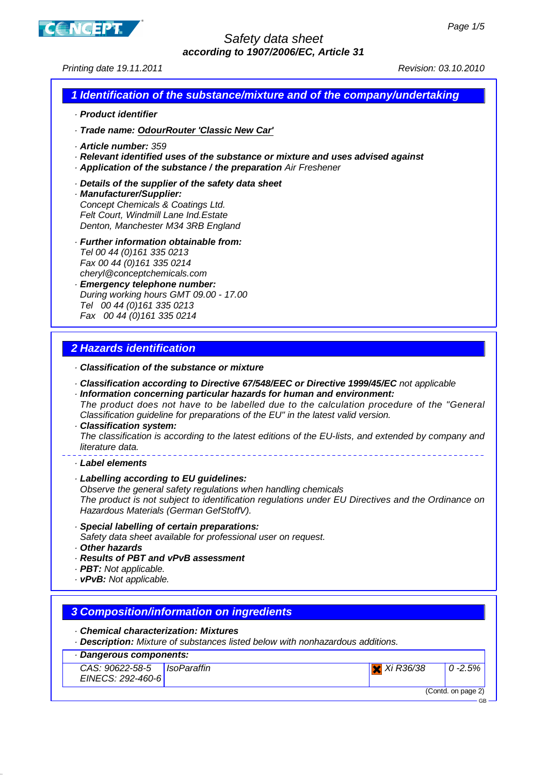

Printing date 19.11.2011 Revision: 03.10.2010

# **1 Identification of the substance/mixture and of the company/undertaking**

- · **Product identifier**
- · **Trade name: OdourRouter 'Classic New Car'**
- · **Article number:** 359
- · **Relevant identified uses of the substance or mixture and uses advised against**
- · **Application of the substance / the preparation** Air Freshener
- · **Details of the supplier of the safety data sheet**
- · **Manufacturer/Supplier:** Concept Chemicals & Coatings Ltd. Felt Court, Windmill Lane Ind.Estate Denton, Manchester M34 3RB England
- · **Further information obtainable from:** Tel 00 44 (0)161 335 0213 Fax 00 44 (0)161 335 0214 cheryl@conceptchemicals.com
- · **Emergency telephone number:** During working hours GMT 09.00 - 17.00 Tel 00 44 (0)161 335 0213 Fax 00 44 (0)161 335 0214

# **2 Hazards identification**

- · **Classification of the substance or mixture**
- · **Classification according to Directive 67/548/EEC or Directive 1999/45/EC** not applicable
- · **Information concerning particular hazards for human and environment:** The product does not have to be labelled due to the calculation procedure of the "General Classification guideline for preparations of the EU" in the latest valid version.
- · **Classification system:** The classification is according to the latest editions of the EU-lists, and extended by company and literature data.
- · **Label elements**

## · **Labelling according to EU guidelines:**

Observe the general safety regulations when handling chemicals The product is not subject to identification regulations under EU Directives and the Ordinance on Hazardous Materials (German GefStoffV).

### · **Special labelling of certain preparations:**

Safety data sheet available for professional user on request.

- · **Other hazards**
- · **Results of PBT and vPvB assessment**
- · **PBT:** Not applicable.
- · **vPvB:** Not applicable.

# **3 Composition/information on ingredients**

## · **Chemical characterization: Mixtures**

· **Description:** Mixture of substances listed below with nonhazardous additions.

### · **Dangerous components:**

| CAS: 90622-58-5   IsoParaffin |  |
|-------------------------------|--|
| EINECS: 292-460-6             |  |

(Contd. on page 2)

 $X$  Xi R36/38 0 -2.5%

GB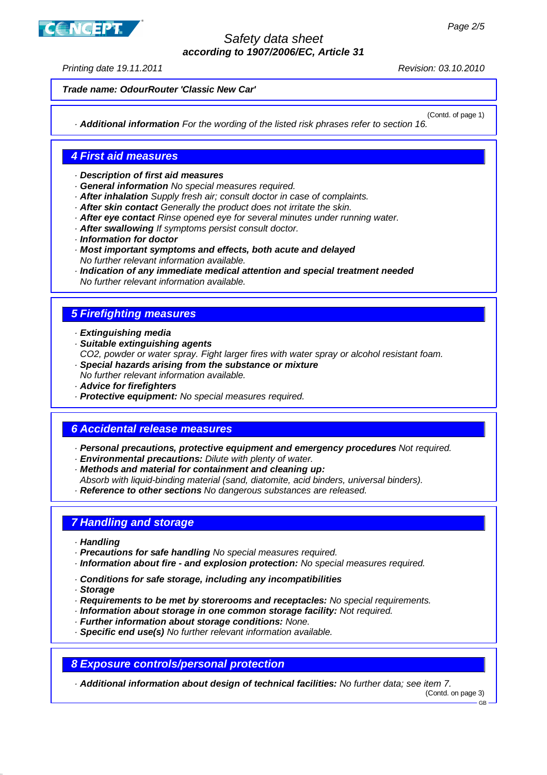Printing date 19.11.2011 **Printing date 19.11.2010** 

**CNCEPT** 

**Trade name: OdourRouter 'Classic New Car'**

(Contd. of page 1) · **Additional information** For the wording of the listed risk phrases refer to section 16.

# **4 First aid measures**

- · **Description of first aid measures**
- · **General information** No special measures required.
- · **After inhalation** Supply fresh air; consult doctor in case of complaints.
- · **After skin contact** Generally the product does not irritate the skin.
- · **After eye contact** Rinse opened eye for several minutes under running water.
- · **After swallowing** If symptoms persist consult doctor.
- · **Information for doctor**
- · **Most important symptoms and effects, both acute and delayed** No further relevant information available.
- · **Indication of any immediate medical attention and special treatment needed** No further relevant information available.

# **5 Firefighting measures**

- · **Extinguishing media**
- · **Suitable extinguishing agents**
- CO2, powder or water spray. Fight larger fires with water spray or alcohol resistant foam. · **Special hazards arising from the substance or mixture**
- No further relevant information available.
- · **Advice for firefighters**
- · **Protective equipment:** No special measures required.

## **6 Accidental release measures**

- · **Personal precautions, protective equipment and emergency procedures** Not required.
- · **Environmental precautions:** Dilute with plenty of water.
- · **Methods and material for containment and cleaning up:**
- Absorb with liquid-binding material (sand, diatomite, acid binders, universal binders).
- · **Reference to other sections** No dangerous substances are released.

## **7 Handling and storage**

- · **Handling**
- · **Precautions for safe handling** No special measures required.
- · **Information about fire and explosion protection:** No special measures required.
- · **Conditions for safe storage, including any incompatibilities**
- · **Storage**
- · **Requirements to be met by storerooms and receptacles:** No special requirements.
- · **Information about storage in one common storage facility:** Not required.
- · **Further information about storage conditions:** None.
- · **Specific end use(s)** No further relevant information available.

**8 Exposure controls/personal protection**

· **Additional information about design of technical facilities:** No further data; see item 7.

(Contd. on page 3)

<sup>.&</sup>lt;br>CR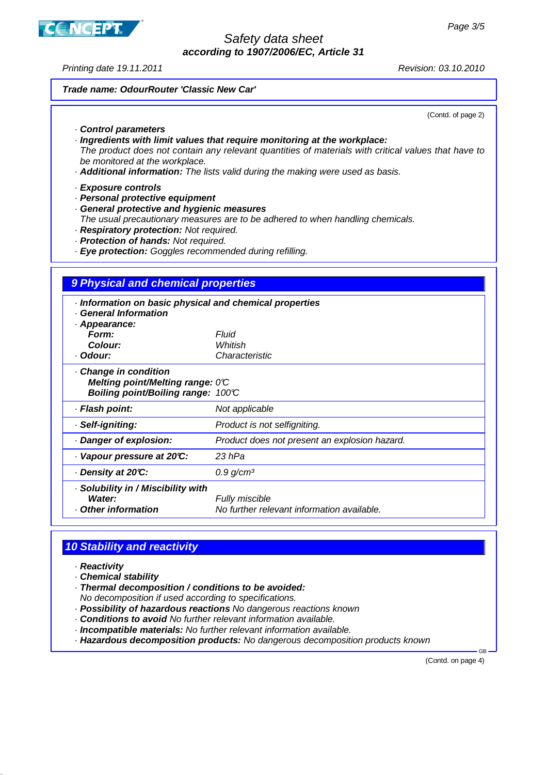Printing date 19.11.2011 **Principal Studies 2018** Revision: 03.10.2010

### **Trade name: OdourRouter 'Classic New Car'**

(Contd. of page 2)

### · **Control parameters**

· **Ingredients with limit values that require monitoring at the workplace:**

The product does not contain any relevant quantities of materials with critical values that have to be monitored at the workplace.

· **Additional information:** The lists valid during the making were used as basis.

#### · **Exposure controls**

- · **Personal protective equipment**
- · **General protective and hygienic measures**
- The usual precautionary measures are to be adhered to when handling chemicals.
- · **Respiratory protection:** Not required.
- · **Protection of hands:** Not required.
- · **Eye protection:** Goggles recommended during refilling.

### **9 Physical and chemical properties**

| · Information on basic physical and chemical properties<br><b>General Information</b><br>· Appearance: |                                                              |
|--------------------------------------------------------------------------------------------------------|--------------------------------------------------------------|
| Form:                                                                                                  | Fluid                                                        |
| Colour:                                                                                                | Whitish                                                      |
| · Odour:                                                                                               | Characteristic                                               |
| Change in condition<br>Melting point/Melting range: 0°C<br>Boiling point/Boiling range: 100°C          |                                                              |
| · Flash point:                                                                                         | Not applicable                                               |
| · Self-igniting:                                                                                       | Product is not selfigniting.                                 |
| Danger of explosion:                                                                                   | Product does not present an explosion hazard.                |
| Vapour pressure at 20°C:                                                                               | 23 hPa                                                       |
| ⋅ Density at 20℃:                                                                                      | 0.9 g/cm <sup>3</sup>                                        |
| · Solubility in / Miscibility with<br>Water:<br>Other information                                      | Fully miscible<br>No further relevant information available. |

# **10 Stability and reactivity**

- · **Reactivity**
- · **Chemical stability**
- · **Thermal decomposition / conditions to be avoided:**
- No decomposition if used according to specifications.
- · **Possibility of hazardous reactions** No dangerous reactions known
- · **Conditions to avoid** No further relevant information available.
- · **Incompatible materials:** No further relevant information available.
- · **Hazardous decomposition products:** No dangerous decomposition products known

(Contd. on page 4)

GB

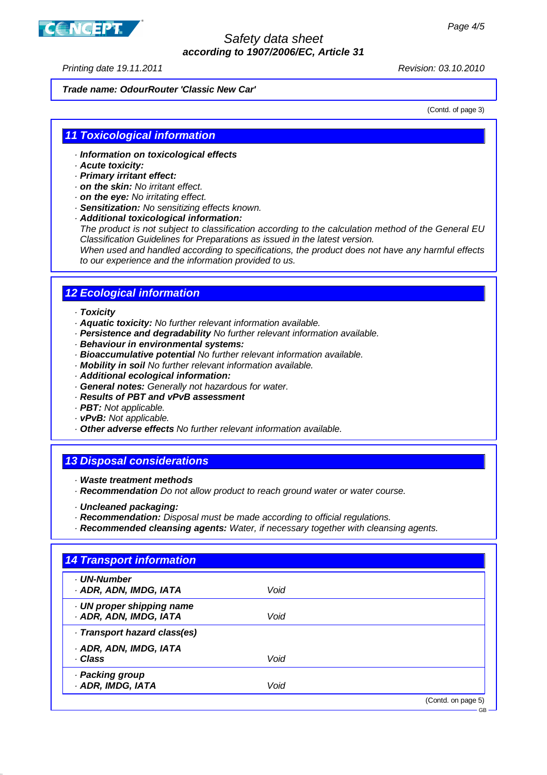

Printing date 19.11.2011 Revision: 03.10.2010

### **Trade name: OdourRouter 'Classic New Car'**

(Contd. of page 3)

### **11 Toxicological information**

- · **Information on toxicological effects**
- · **Acute toxicity:**
- · **Primary irritant effect:**
- · **on the skin:** No irritant effect.
- · **on the eye:** No irritating effect.
- · **Sensitization:** No sensitizing effects known.
- · **Additional toxicological information:**

The product is not subject to classification according to the calculation method of the General EU Classification Guidelines for Preparations as issued in the latest version.

When used and handled according to specifications, the product does not have any harmful effects to our experience and the information provided to us.

### **12 Ecological information**

#### · **Toxicity**

- · **Aquatic toxicity:** No further relevant information available.
- · **Persistence and degradability** No further relevant information available.
- · **Behaviour in environmental systems:**
- · **Bioaccumulative potential** No further relevant information available.
- · **Mobility in soil** No further relevant information available.
- · **Additional ecological information:**
- · **General notes:** Generally not hazardous for water.
- · **Results of PBT and vPvB assessment**
- · **PBT:** Not applicable.
- · **vPvB:** Not applicable.
- · **Other adverse effects** No further relevant information available.

### **13 Disposal considerations**

- · **Waste treatment methods**
- · **Recommendation** Do not allow product to reach ground water or water course.
- · **Uncleaned packaging:**
- · **Recommendation:** Disposal must be made according to official regulations.
- · **Recommended cleansing agents:** Water, if necessary together with cleansing agents.

| <b>UN-Number</b>                                    |      |  |
|-----------------------------------------------------|------|--|
| · ADR, ADN, IMDG, IATA                              | Void |  |
| · UN proper shipping name<br>· ADR, ADN, IMDG, IATA | Void |  |
| · Transport hazard class(es)                        |      |  |
| · ADR, ADN, IMDG, IATA                              |      |  |
| · Class                                             | Void |  |
| · Packing group                                     |      |  |
| · ADR, IMDG, IATA                                   | Void |  |